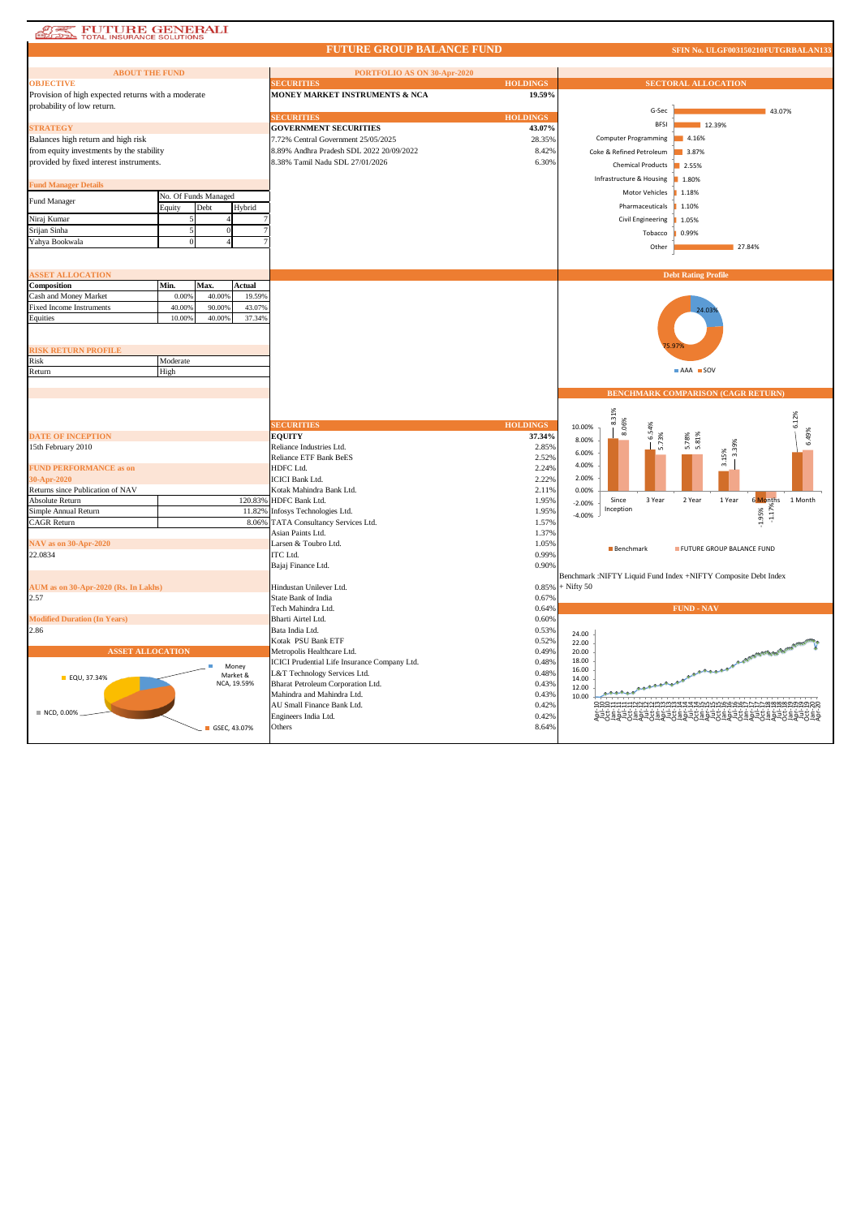| <b>FUTURE GENERALI</b><br>TOTAL INSURANCE SOLUTIONS |                      |              |             |                                                                 |                 |                |                          |                                                                |                       |
|-----------------------------------------------------|----------------------|--------------|-------------|-----------------------------------------------------------------|-----------------|----------------|--------------------------|----------------------------------------------------------------|-----------------------|
|                                                     |                      |              |             | <b>FUTURE GROUP BALANCE FUND</b>                                |                 |                |                          | SFIN No. ULGF003150210FUTGRBALAN133                            |                       |
|                                                     |                      |              |             |                                                                 |                 |                |                          |                                                                |                       |
| <b>ABOUT THE FUND</b>                               |                      |              |             | PORTFOLIO AS ON 30-Apr-2020                                     | <b>HOLDINGS</b> |                |                          |                                                                |                       |
| <b>OBJECTIVE</b>                                    |                      |              |             | <b>SECURITIES</b>                                               | 19.59%          |                |                          | <b>SECTORAL ALLOCATION</b>                                     |                       |
| Provision of high expected returns with a moderate  |                      |              |             | MONEY MARKET INSTRUMENTS & NCA                                  |                 |                |                          |                                                                |                       |
| probability of low return.                          |                      |              |             |                                                                 | <b>HOLDINGS</b> |                | G-Sec                    |                                                                | 43.07%                |
| <b>STRATEGY</b>                                     |                      |              |             | <b>SECURITIES</b><br><b>GOVERNMENT SECURITIES</b>               | 43.07%          |                | <b>RESI</b>              | 12.39%                                                         |                       |
| Balances high return and high risk                  |                      |              |             | 7.72% Central Government 25/05/2025                             | 28.35%          |                | Computer Programming     | 4.16%                                                          |                       |
| from equity investments by the stability            |                      |              |             | 8.89% Andhra Pradesh SDL 2022 20/09/2022                        | 8.42%           |                |                          |                                                                |                       |
| provided by fixed interest instruments.             |                      |              |             | 8.38% Tamil Nadu SDL 27/01/2026                                 | 6.30%           |                | Coke & Refined Petroleum | 3.87%                                                          |                       |
|                                                     |                      |              |             |                                                                 |                 |                | <b>Chemical Products</b> | 2.55%                                                          |                       |
| <b>Fund Manager Details</b>                         |                      |              |             |                                                                 |                 |                | Infrastructure & Housing | 1.80%                                                          |                       |
|                                                     | No. Of Funds Managed |              |             |                                                                 |                 |                | Motor Vehicles           | 1.18%                                                          |                       |
| Fund Manager                                        | Equity               | Debt         | Hybrid      |                                                                 |                 |                | Pharmaceuticals          | 1.10%                                                          |                       |
| Niraj Kumar                                         |                      |              |             |                                                                 |                 |                | Civil Engineering        | 1.05%                                                          |                       |
| Srijan Sinha                                        |                      |              |             |                                                                 |                 |                |                          |                                                                |                       |
| Yahya Bookwala                                      |                      |              |             |                                                                 |                 |                | Tobacco                  | 0.99%                                                          |                       |
|                                                     |                      |              |             |                                                                 |                 |                | Other                    | 27,84%                                                         |                       |
|                                                     |                      |              |             |                                                                 |                 |                |                          |                                                                |                       |
| <b>SSET ALLOCATION</b>                              |                      |              |             |                                                                 |                 |                |                          | <b>Debt Rating Profile</b>                                     |                       |
| Composition                                         | Min.                 | Max.         | Actual      |                                                                 |                 |                |                          |                                                                |                       |
| Cash and Money Market                               | 0.009                | 40.00%       | 19.59%      |                                                                 |                 |                |                          |                                                                |                       |
| <b>Fixed Income Instruments</b>                     | 40.009               | 90.00%       | 43.07%      |                                                                 |                 |                |                          | 24.03                                                          |                       |
| Equities                                            | 10.00%               | 40.00%       | 37.34%      |                                                                 |                 |                |                          |                                                                |                       |
|                                                     |                      |              |             |                                                                 |                 |                |                          |                                                                |                       |
|                                                     |                      |              |             |                                                                 |                 |                |                          |                                                                |                       |
| <b>RISK RETURN PROFILE</b>                          |                      |              |             |                                                                 |                 |                |                          |                                                                |                       |
| Risk                                                | Moderate             |              |             |                                                                 |                 |                |                          |                                                                |                       |
| Return                                              | High                 |              |             |                                                                 |                 |                |                          | AAA SOV                                                        |                       |
|                                                     |                      |              |             |                                                                 |                 |                |                          |                                                                |                       |
|                                                     |                      |              |             |                                                                 |                 |                |                          |                                                                |                       |
|                                                     |                      |              |             |                                                                 |                 |                |                          | <b>BENCHMARK COMPARISON (CAGR RETURN)</b>                      |                       |
|                                                     |                      |              |             |                                                                 |                 |                |                          |                                                                |                       |
|                                                     |                      |              |             |                                                                 |                 |                |                          |                                                                |                       |
|                                                     |                      |              |             | <b>SECURITIES</b>                                               | <b>HOLDINGS</b> | 10.00%         | 8.31%<br>8.06%           |                                                                | 6.12%                 |
| <b>DATE OF INCEPTION</b>                            |                      |              |             | <b>EOUITY</b>                                                   | 37.34%          | 8.00%          | 6.54%                    |                                                                | 6.49%                 |
| 15th February 2010                                  |                      |              |             | Reliance Industries Ltd.                                        | 2.85%           | 6.00%          | 5.73%                    | 5.78%<br>5.81%<br>3.39%                                        |                       |
|                                                     |                      |              |             | <b>Reliance ETF Bank BeES</b>                                   | 2.52%           | 4.00%          |                          | 3.15%                                                          |                       |
| <b>FUND PERFORMANCE as on</b>                       |                      |              |             | HDFC Ltd.<br><b>ICICI Bank Ltd.</b>                             | 2.24%<br>2.22%  | 2.00%          |                          |                                                                |                       |
| 30-Apr-2020<br>Returns since Publication of NAV     |                      |              |             | Kotak Mahindra Bank Ltd.                                        | 2.11%           | 0.00%          |                          |                                                                |                       |
| Absolute Return                                     |                      |              | 120.83%     | HDFC Bank Ltd.                                                  | 1.95%           |                | Since<br>3 Year          | 2 Year<br>1 Year                                               | 6 Months<br>1 Month   |
| Simple Annual Return                                |                      |              | 11.82%      | Infosys Technologies Ltd.                                       | 1.95%           | $-2.00%$       | Inception                |                                                                |                       |
| <b>CAGR Return</b>                                  |                      |              | 8.06%       | TATA Consultancy Services Ltd.                                  | 1.57%           | $-4.00%$       |                          |                                                                | $-1.179$              |
|                                                     |                      |              |             | Asian Paints Ltd.                                               | 1.37%           |                |                          |                                                                | $-1.95%$              |
| <b>NAV</b> as on 30-Apr-2020                        |                      |              |             | Larsen & Toubro Ltd.                                            | 1.05%           |                |                          |                                                                |                       |
| 22.0834                                             |                      |              |             | ITC Ltd.                                                        | 0.99%           |                | Benchmark                | FUTURE GROUP BALANCE FUND                                      |                       |
|                                                     |                      |              |             | Bajaj Finance Ltd.                                              | 0.90%           |                |                          |                                                                |                       |
|                                                     |                      |              |             |                                                                 |                 |                |                          | Benchmark :NIFTY Liquid Fund Index +NIFTY Composite Debt Index |                       |
| AUM as on 30-Apr-2020 (Rs. In Lakhs)                |                      |              |             | Hindustan Unilever Ltd.                                         | 0.85%           | $+$ Nifty 50   |                          |                                                                |                       |
| 2.57                                                |                      |              |             | <b>State Bank of India</b>                                      | 0.67%           |                |                          |                                                                |                       |
|                                                     |                      |              |             | Tech Mahindra Ltd.                                              | 0.64%           |                |                          | <b>FUND - NAV</b>                                              |                       |
| <b>Modified Duration (In Years)</b>                 |                      |              |             | Bharti Airtel Ltd.                                              | 0.60%           |                |                          |                                                                |                       |
| 2.86                                                |                      |              |             | Bata India Ltd.                                                 | 0.53%           | 24.00          |                          |                                                                |                       |
|                                                     |                      |              |             | Kotak PSU Bank ETF                                              | 0.52%           | 22.00          |                          |                                                                |                       |
| <b>ASSET ALLOCATION</b>                             |                      |              |             | Metropolis Healthcare Ltd.                                      | 0.49%           | 20.00<br>18.00 |                          |                                                                |                       |
|                                                     |                      |              | Money       | ICICI Prudential Life Insurance Company Ltd.                    | 0.48%           | 16.00          |                          |                                                                | <b>CARL AND STATE</b> |
| <b>EQU, 37.34%</b>                                  |                      |              | Market &    | L&T Technology Services Ltd.                                    | 0.48%           | 14.00          |                          |                                                                |                       |
|                                                     |                      |              | NCA, 19.59% | Bharat Petroleum Corporation Ltd.<br>Mahindra and Mahindra Ltd. | 0.43%           | 12.00          |                          |                                                                |                       |
|                                                     |                      |              |             | AU Small Finance Bank Ltd.                                      | 0.43%<br>0.42%  | 10.00          |                          |                                                                |                       |
| NCD, 0.00%                                          |                      |              |             | Engineers India Ltd.                                            | 0.42%           |                |                          |                                                                |                       |
|                                                     |                      | GSEC, 43.07% |             | Others                                                          | 8.64%           |                |                          |                                                                |                       |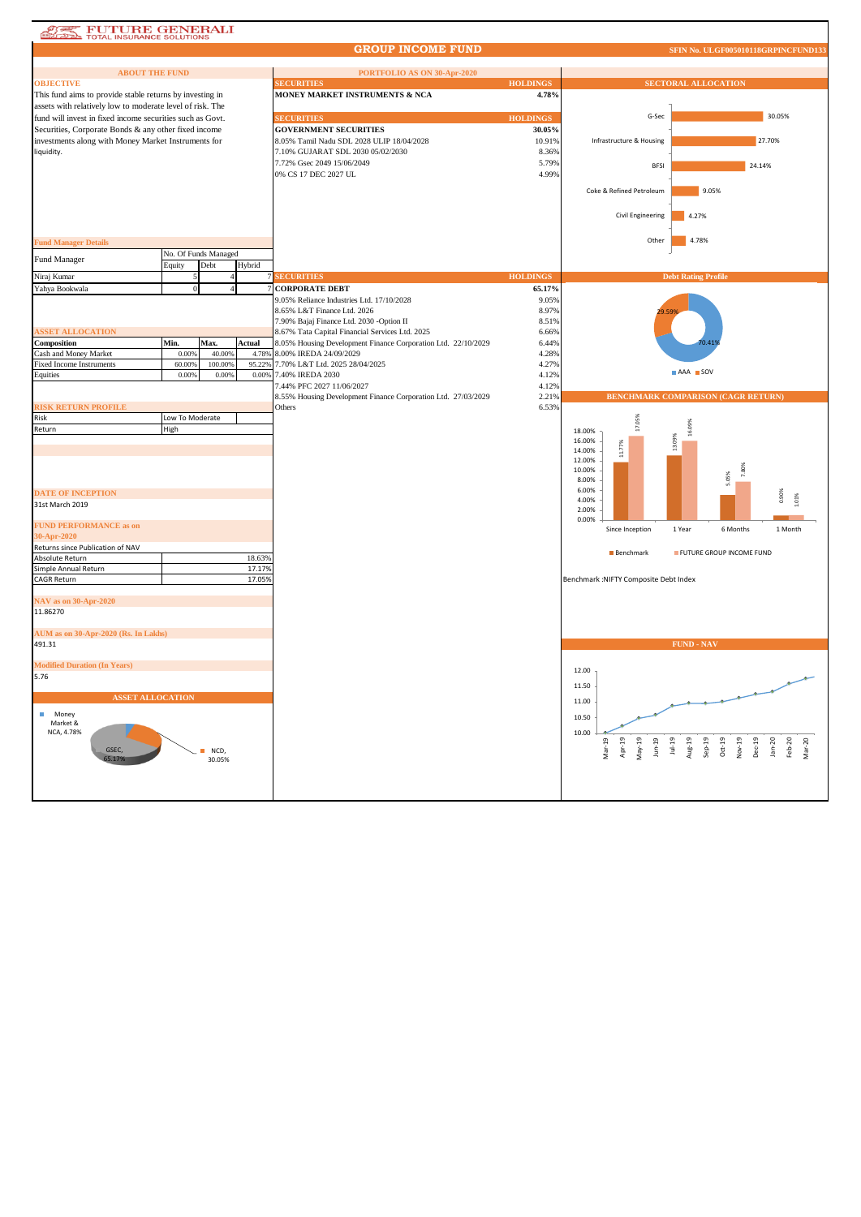## **AT FUTURE GENERALI**

## **GROUP INCOME FUND**

**S. ULGF005010118GRPI** 

| <b>ABOUT THE FUND</b>                                     |                 |                      |        | PORTFOLIO AS ON 30-Apr-2020                                   |                 |                                        |                                                                                                              |
|-----------------------------------------------------------|-----------------|----------------------|--------|---------------------------------------------------------------|-----------------|----------------------------------------|--------------------------------------------------------------------------------------------------------------|
| <b>OBJECTIVE</b>                                          |                 |                      |        | <b>SECURITIES</b>                                             | <b>HOLDINGS</b> |                                        | <b>SECTORAL ALLOCATION</b>                                                                                   |
| This fund aims to provide stable returns by investing in  |                 |                      |        | MONEY MARKET INSTRUMENTS & NCA                                | 4.78%           |                                        |                                                                                                              |
| assets with relatively low to moderate level of risk. The |                 |                      |        |                                                               |                 |                                        |                                                                                                              |
| fund will invest in fixed income securities such as Govt. |                 |                      |        | <b>SECURITIES</b>                                             | <b>HOLDINGS</b> | G-Sec                                  | 30.05%                                                                                                       |
| Securities, Corporate Bonds & any other fixed income      |                 |                      |        | <b>GOVERNMENT SECURITIES</b>                                  | 30.05%          |                                        |                                                                                                              |
| investments along with Money Market Instruments for       |                 |                      |        | 8.05% Tamil Nadu SDL 2028 ULIP 18/04/2028                     | 10.91%          | Infrastructure & Housing               | 27.70%                                                                                                       |
| liquidity.                                                |                 |                      |        | 7.10% GUJARAT SDL 2030 05/02/2030                             | 8.36%           |                                        |                                                                                                              |
|                                                           |                 |                      |        | 7.72% Gsec 2049 15/06/2049                                    | 5.79%           | <b>BFSI</b>                            | 24.14%                                                                                                       |
|                                                           |                 |                      |        | 0% CS 17 DEC 2027 UL                                          | 4.99%           |                                        |                                                                                                              |
|                                                           |                 |                      |        |                                                               |                 |                                        |                                                                                                              |
|                                                           |                 |                      |        |                                                               |                 | Coke & Refined Petroleum               | 9.05%                                                                                                        |
|                                                           |                 |                      |        |                                                               |                 |                                        |                                                                                                              |
|                                                           |                 |                      |        |                                                               |                 | Civil Engineering                      | 4.27%                                                                                                        |
|                                                           |                 |                      |        |                                                               |                 |                                        |                                                                                                              |
| <b>Fund Manager Details</b>                               |                 |                      |        |                                                               |                 | Other                                  | 4.78%                                                                                                        |
|                                                           |                 | No. Of Funds Managed |        |                                                               |                 |                                        |                                                                                                              |
| Fund Manager                                              | Equity          | Debt                 | Hybrid |                                                               |                 |                                        |                                                                                                              |
| Niraj Kumar                                               |                 |                      |        | <b>SECURITIES</b>                                             | <b>HOLDINGS</b> |                                        | <b>Debt Rating Profile</b>                                                                                   |
| Yahya Bookwala                                            | $\Omega$        |                      |        | <b>CORPORATE DEBT</b>                                         | 65.17%          |                                        |                                                                                                              |
|                                                           |                 |                      |        | 9.05% Reliance Industries Ltd. 17/10/2028                     | 9.05%           |                                        |                                                                                                              |
|                                                           |                 |                      |        | 8.65% L&T Finance Ltd. 2026                                   | 8.97%           |                                        |                                                                                                              |
|                                                           |                 |                      |        | 7.90% Bajaj Finance Ltd. 2030 -Option II                      | 8.51%           |                                        |                                                                                                              |
| <b>ASSET ALLOCATION</b>                                   |                 |                      |        | 8.67% Tata Capital Financial Services Ltd. 2025               | 6.66%           |                                        |                                                                                                              |
| Composition                                               | Min.            | Max.                 | Actual | 8.05% Housing Development Finance Corporation Ltd. 22/10/2029 | 6.44%           |                                        |                                                                                                              |
| Cash and Money Market                                     | 0.00%           | 40.00%               | 4.78%  | 8.00% IREDA 24/09/2029                                        | 4.28%           |                                        |                                                                                                              |
| <b>Fixed Income Instruments</b>                           | 60.009          | 100.00%              |        | 95.22% 7.70% L&T Ltd. 2025 28/04/2025                         | 4.27%           |                                        |                                                                                                              |
| Equities                                                  | 0.00%           | 0.00%                |        | 0.00% 7.40% IREDA 2030                                        | 4.12%           |                                        | AAA SOV                                                                                                      |
|                                                           |                 |                      |        | 7.44% PFC 2027 11/06/2027                                     | 4.12%           |                                        |                                                                                                              |
|                                                           |                 |                      |        | 8.55% Housing Development Finance Corporation Ltd. 27/03/2029 | 2.21%           |                                        | <b>BENCHMARK COMPARISON (CAGR RETURN)</b>                                                                    |
| <b>RISK RETURN PROFILE</b>                                |                 |                      |        | Others                                                        | 6.53%           |                                        |                                                                                                              |
| Risk                                                      | Low To Moderate |                      |        |                                                               |                 | 17.05%                                 | 16.09%                                                                                                       |
| Return                                                    | High            |                      |        |                                                               |                 | 18.00%                                 |                                                                                                              |
|                                                           |                 |                      |        |                                                               |                 | 16.00%<br>11.77%<br>14.00%             | 13.09%                                                                                                       |
|                                                           |                 |                      |        |                                                               |                 | 12.00%                                 |                                                                                                              |
|                                                           |                 |                      |        |                                                               |                 | 10.00%                                 | 7.80%                                                                                                        |
|                                                           |                 |                      |        |                                                               |                 | 8.00%                                  | 5.05%                                                                                                        |
| <b>DATE OF INCEPTION</b>                                  |                 |                      |        |                                                               |                 | 6.00%                                  |                                                                                                              |
| 31st March 2019                                           |                 |                      |        |                                                               |                 | 4.00%                                  | 0.90%<br>.01%                                                                                                |
|                                                           |                 |                      |        |                                                               |                 | 2.00%<br>0.00%                         |                                                                                                              |
| <b>FUND PERFORMANCE as on</b>                             |                 |                      |        |                                                               |                 | Since Inception                        | 1 Year<br>6 Months<br>1 Month                                                                                |
| 30-Apr-2020                                               |                 |                      |        |                                                               |                 |                                        |                                                                                                              |
| Returns since Publication of NAV                          |                 |                      |        |                                                               |                 | <b>Benchmark</b>                       | FUTURE GROUP INCOME FUND                                                                                     |
| Absolute Return                                           |                 |                      | 18.63% |                                                               |                 |                                        |                                                                                                              |
| Simple Annual Return                                      |                 |                      | 17.17% |                                                               |                 |                                        |                                                                                                              |
| <b>CAGR Return</b>                                        |                 |                      | 17.05% |                                                               |                 | Benchmark : NIFTY Composite Debt Index |                                                                                                              |
|                                                           |                 |                      |        |                                                               |                 |                                        |                                                                                                              |
| <b>NAV</b> as on 30-Apr-2020                              |                 |                      |        |                                                               |                 |                                        |                                                                                                              |
| 11.86270                                                  |                 |                      |        |                                                               |                 |                                        |                                                                                                              |
| AUM as on 30-Apr-2020 (Rs. In Lakhs)                      |                 |                      |        |                                                               |                 |                                        |                                                                                                              |
| 491.31                                                    |                 |                      |        |                                                               |                 |                                        | <b>FUND - NAV</b>                                                                                            |
|                                                           |                 |                      |        |                                                               |                 |                                        |                                                                                                              |
| <b>Modified Duration (In Years)</b>                       |                 |                      |        |                                                               |                 |                                        |                                                                                                              |
| 5.76                                                      |                 |                      |        |                                                               |                 | 12.00                                  |                                                                                                              |
|                                                           |                 |                      |        |                                                               |                 | 11.50                                  |                                                                                                              |
| <b>ASSET ALLOCATION</b>                                   |                 |                      |        |                                                               |                 |                                        |                                                                                                              |
|                                                           |                 |                      |        |                                                               |                 | 11.00                                  |                                                                                                              |
| п<br>Money<br>Market &                                    |                 |                      |        |                                                               |                 | 10.50                                  |                                                                                                              |
| NCA, 4.78%                                                |                 |                      |        |                                                               |                 | 10.00                                  |                                                                                                              |
|                                                           |                 |                      |        |                                                               |                 | Apr-19                                 |                                                                                                              |
| GSEC,                                                     |                 | NCD,                 |        |                                                               |                 | $Mar-19$<br>$May-19$<br>$J$ un-19      | $Jul-19$<br>Aug-19<br>$Sep-19$<br>$Oct-19$<br>$Nov-19$<br>$Dec-19$<br>$Jan-20$<br>$Feb-20$<br>$\sqrt{ar-20}$ |
| 5.17%                                                     |                 | 30.05%               |        |                                                               |                 |                                        |                                                                                                              |
|                                                           |                 |                      |        |                                                               |                 |                                        |                                                                                                              |
|                                                           |                 |                      |        |                                                               |                 |                                        |                                                                                                              |
|                                                           |                 |                      |        |                                                               |                 |                                        |                                                                                                              |
|                                                           |                 |                      |        |                                                               |                 |                                        |                                                                                                              |